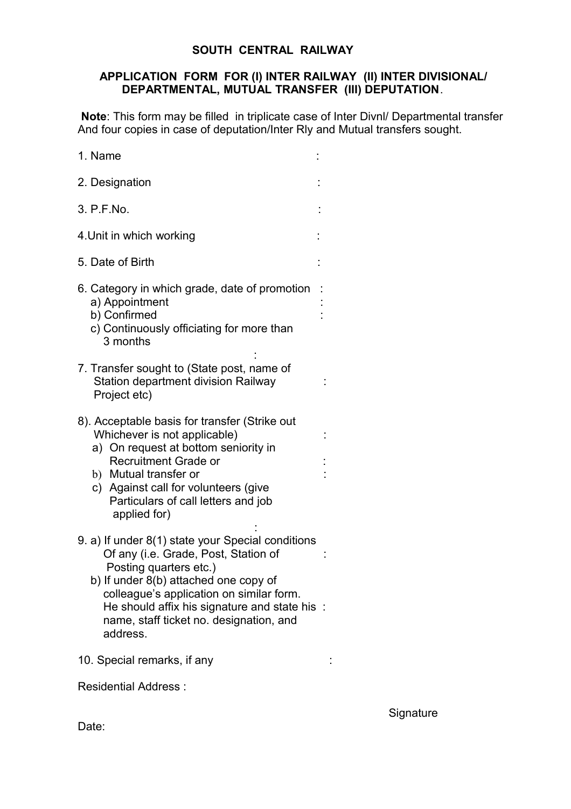# **SOUTH CENTRAL RAILWAY**

#### **APPLICATION FORM FOR (I) INTER RAILWAY (II) INTER DIVISIONAL/ DEPARTMENTAL, MUTUAL TRANSFER (III) DEPUTATION**.

**Note**: This form may be filled in triplicate case of Inter Divnl/ Departmental transfer And four copies in case of deputation/Inter Rly and Mutual transfers sought.

| 1. Name                                                                                                                                                                                                                                                                                                          |  |
|------------------------------------------------------------------------------------------------------------------------------------------------------------------------------------------------------------------------------------------------------------------------------------------------------------------|--|
| 2. Designation                                                                                                                                                                                                                                                                                                   |  |
| 3. P.F.No.                                                                                                                                                                                                                                                                                                       |  |
| 4. Unit in which working                                                                                                                                                                                                                                                                                         |  |
| 5. Date of Birth                                                                                                                                                                                                                                                                                                 |  |
| 6. Category in which grade, date of promotion<br>a) Appointment<br>b) Confirmed<br>c) Continuously officiating for more than<br>3 months                                                                                                                                                                         |  |
| 7. Transfer sought to (State post, name of<br>Station department division Railway<br>Project etc)                                                                                                                                                                                                                |  |
| 8). Acceptable basis for transfer (Strike out<br>Whichever is not applicable)<br>a) On request at bottom seniority in<br><b>Recruitment Grade or</b><br>b) Mutual transfer or<br>c) Against call for volunteers (give<br>Particulars of call letters and job<br>applied for)                                     |  |
| 9. a) If under 8(1) state your Special conditions<br>Of any (i.e. Grade, Post, Station of<br>Posting quarters etc.)<br>b) If under 8(b) attached one copy of<br>colleague's application on similar form.<br>He should affix his signature and state his :<br>name, staff ticket no. designation, and<br>address. |  |
| 10. Special remarks, if any                                                                                                                                                                                                                                                                                      |  |
| <b>Residential Address:</b>                                                                                                                                                                                                                                                                                      |  |

**Signature** 

Date: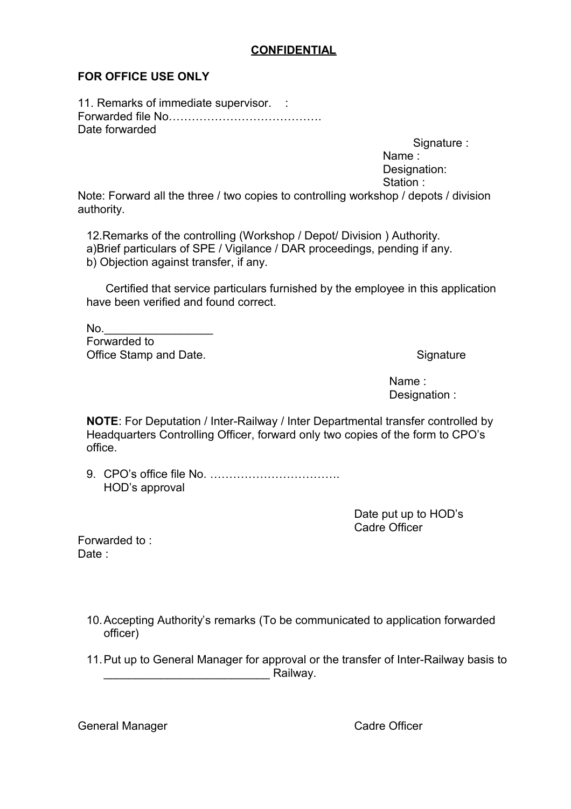# **CONFIDENTIAL**

# **FOR OFFICE USE ONLY**

11. Remarks of immediate supervisor. : Forwarded file No…………………………………. Date forwarded

Signature :

 Name : Designation: Station :

Note: Forward all the three / two copies to controlling workshop / depots / division authority.

12.Remarks of the controlling (Workshop / Depot/ Division ) Authority. a)Brief particulars of SPE / Vigilance / DAR proceedings, pending if any. b) Objection against transfer, if any.

 Certified that service particulars furnished by the employee in this application have been verified and found correct.

 $No.$ Forwarded to Office Stamp and Date. Signature Stamp and Date.

 Name : Designation :

**NOTE**: For Deputation / Inter-Railway / Inter Departmental transfer controlled by Headquarters Controlling Officer, forward only two copies of the form to CPO's office.

9. CPO's office file No. ……………………………. HOD's approval

> Date put up to HOD's Cadre Officer

Forwarded to : Date :

- 10.Accepting Authority's remarks (To be communicated to application forwarded officer)
- 11.Put up to General Manager for approval or the transfer of Inter-Railway basis to and the contract of the Railway.

General Manager **Cadre Officer** Cadre Officer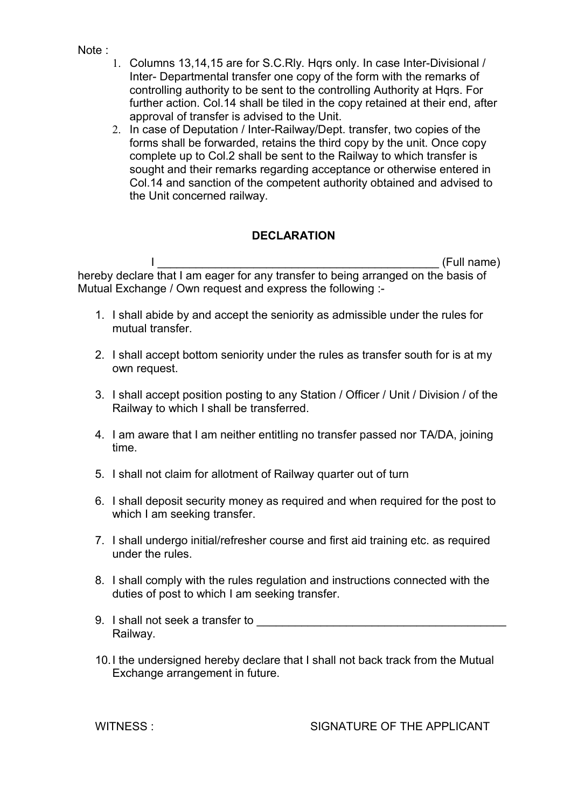- Note :
- 1. Columns 13,14,15 are for S.C.Rly. Hqrs only. In case Inter-Divisional / Inter- Departmental transfer one copy of the form with the remarks of controlling authority to be sent to the controlling Authority at Hqrs. For further action. Col.14 shall be tiled in the copy retained at their end, after approval of transfer is advised to the Unit.
- 2. In case of Deputation / Inter-Railway/Dept. transfer, two copies of the forms shall be forwarded, retains the third copy by the unit. Once copy complete up to Col.2 shall be sent to the Railway to which transfer is sought and their remarks regarding acceptance or otherwise entered in Col.14 and sanction of the competent authority obtained and advised to the Unit concerned railway.

# **DECLARATION**

 I \_\_\_\_\_\_\_\_\_\_\_\_\_\_\_\_\_\_\_\_\_\_\_\_\_\_\_\_\_\_\_\_\_\_\_\_\_\_\_\_\_\_\_\_ (Full name) hereby declare that I am eager for any transfer to being arranged on the basis of Mutual Exchange / Own request and express the following :-

- 1. I shall abide by and accept the seniority as admissible under the rules for mutual transfer.
- 2. I shall accept bottom seniority under the rules as transfer south for is at my own request.
- 3. I shall accept position posting to any Station / Officer / Unit / Division / of the Railway to which I shall be transferred.
- 4. I am aware that I am neither entitling no transfer passed nor TA/DA, joining time.
- 5. I shall not claim for allotment of Railway quarter out of turn
- 6. I shall deposit security money as required and when required for the post to which I am seeking transfer.
- 7. I shall undergo initial/refresher course and first aid training etc. as required under the rules.
- 8. I shall comply with the rules regulation and instructions connected with the duties of post to which I am seeking transfer.
- 9. I shall not seek a transfer to **way** Railway.
- 10.I the undersigned hereby declare that I shall not back track from the Mutual Exchange arrangement in future.

WITNESS : SIGNATURE OF THE APPLICANT